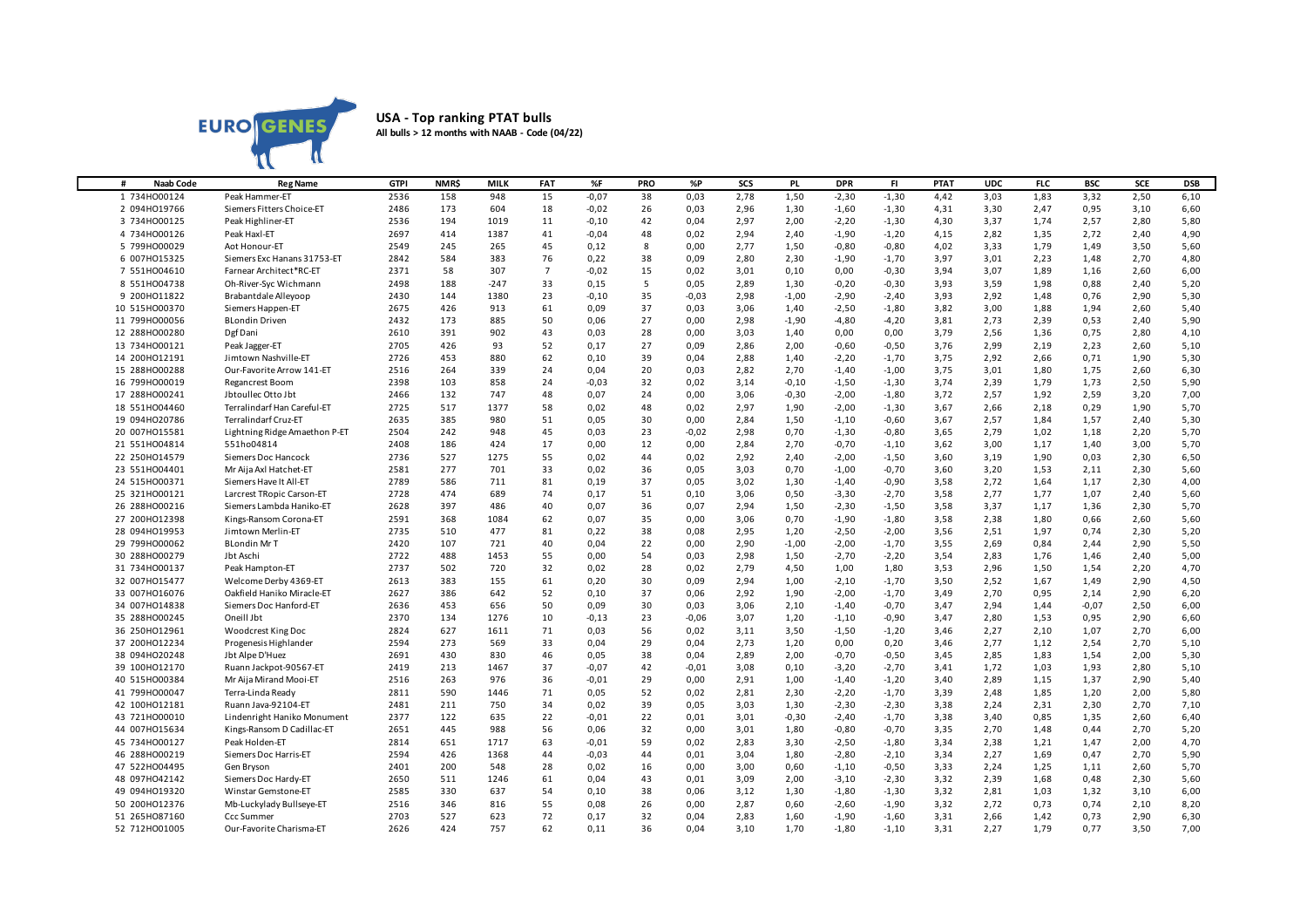

## **USA - Top ranking PTAT bulls All bulls > 12 months with NAAB - Code (04/22)**

| <b>Naab Code</b><br># | <b>Reg Name</b>               | <b>GTPI</b> | <b>NMR\$</b> | MILK   | <b>FAT</b>     | %F      | <b>PRO</b> | %P      | SCS  | PL.     | <b>DPR</b> | FL.     | <b>PTAT</b> | <b>UDC</b> | <b>FLC</b> | <b>BSC</b> | <b>SCE</b> | <b>DSB</b> |
|-----------------------|-------------------------------|-------------|--------------|--------|----------------|---------|------------|---------|------|---------|------------|---------|-------------|------------|------------|------------|------------|------------|
| 1 734HO00124          | Peak Hammer-ET                | 2536        | 158          | 948    | 15             | $-0,07$ | 38         | 0,03    | 2,78 | 1,50    | $-2,30$    | $-1,30$ | 4,42        | 3,03       | 1,83       | 3,32       | 2,50       | 6,10       |
| 2 094H019766          | Siemers Fitters Choice-ET     | 2486        | 173          | 604    | 18             | $-0,02$ | 26         | 0,03    | 2,96 | 1,30    | $-1,60$    | $-1,30$ | 4,31        | 3,30       | 2,47       | 0,95       | 3,10       | 6,60       |
| 3 734HO00125          | Peak Highliner-ET             | 2536        | 194          | 1019   | 11             | $-0,10$ | 42         | 0,04    | 2,97 | 2,00    | $-2,20$    | $-1,30$ | 4,30        | 3,37       | 1,74       | 2,57       | 2,80       | 5,80       |
| 4 734HO00126          | Peak Haxl-ET                  | 2697        | 414          | 1387   | 41             | $-0,04$ | 48         | 0,02    | 2,94 | 2,40    | $-1,90$    | $-1,20$ | 4,15        | 2,82       | 1,35       | 2,72       | 2,40       | 4,90       |
| 5 799HO00029          | Aot Honour-ET                 | 2549        | 245          | 265    | 45             | 0,12    | 8          | 0,00    | 2,77 | 1,50    | $-0,80$    | $-0,80$ | 4,02        | 3,33       | 1,79       | 1,49       | 3,50       | 5,60       |
| 6 007HO15325          | Siemers Exc Hanans 31753-ET   | 2842        | 584          | 383    | 76             | 0,22    | 38         | 0,09    | 2,80 | 2,30    | $-1,90$    | $-1,70$ | 3,97        | 3,01       | 2,23       | 1,48       | 2,70       | 4,80       |
| 7 551HO04610          | Farnear Architect*RC-ET       | 2371        | 58           | 307    | $\overline{7}$ | $-0,02$ | 15         | 0,02    | 3,01 | 0,10    | 0,00       | $-0,30$ | 3,94        | 3,07       | 1,89       | 1,16       | 2,60       | 6,00       |
| 8 551HO04738          | Oh-River-Syc Wichmann         | 2498        | 188          | $-247$ | 33             | 0,15    | 5          | 0,05    | 2,89 | 1,30    | $-0,20$    | $-0,30$ | 3,93        | 3,59       | 1,98       | 0,88       | 2,40       | 5,20       |
| 9 200HO11822          | Brabantdale Alleyoop          | 2430        | 144          | 1380   | 23             | $-0,10$ | 35         | $-0,03$ | 2,98 | $-1,00$ | $-2,90$    | $-2,40$ | 3,93        | 2,92       | 1,48       | 0,76       | 2,90       | 5,30       |
| 10 515H000370         | Siemers Happen-ET             | 2675        | 426          | 913    | 61             | 0,09    | 37         | 0,03    | 3,06 | 1,40    | $-2,50$    | $-1,80$ | 3,82        | 3,00       | 1,88       | 1,94       | 2,60       | 5,40       |
| 11 799H000056         | <b>BLondin Driven</b>         | 2432        | 173          | 885    | 50             | 0,06    | 27         | 0,00    | 2,98 | $-1,90$ | $-4,80$    | $-4,20$ | 3,81        | 2,73       | 2,39       | 0,53       | 2,40       | 5,90       |
| 12 288HO00280         | Dgf Dani                      | 2610        | 391          | 902    | 43             | 0,03    | 28         | 0,00    | 3,03 | 1,40    | 0,00       | 0,00    | 3,79        | 2,56       | 1,36       | 0,75       | 2,80       | 4,10       |
| 13 734H000121         | Peak Jagger-ET                | 2705        | 426          | 93     | 52             | 0,17    | 27         | 0,09    | 2,86 | 2,00    | $-0,60$    | $-0,50$ | 3,76        | 2,99       | 2,19       | 2,23       | 2,60       | 5,10       |
| 14 200HO12191         | Jimtown Nashville-ET          | 2726        | 453          | 880    | 62             | 0,10    | 39         | 0,04    | 2,88 | 1,40    | $-2,20$    | $-1,70$ | 3,75        | 2,92       | 2,66       | 0,71       | 1,90       | 5,30       |
| 15 288H000288         | Our-Favorite Arrow 141-ET     | 2516        | 264          | 339    | 24             | 0,04    | 20         | 0,03    | 2,82 | 2,70    | $-1,40$    | $-1,00$ | 3,75        | 3,01       | 1,80       | 1,75       | 2,60       | 6,30       |
| 16 799H000019         | Regancrest Boom               | 2398        | 103          | 858    | 24             | $-0,03$ | 32         | 0,02    | 3,14 | $-0,10$ | $-1,50$    | $-1,30$ | 3,74        | 2,39       | 1,79       | 1,73       | 2,50       | 5,90       |
| 17 288HO00241         | Jbtoullec Otto Jbt            | 2466        | 132          | 747    | 48             | 0,07    | 24         | 0,00    | 3,06 | $-0,30$ | $-2,00$    | $-1,80$ | 3,72        | 2,57       | 1,92       | 2,59       | 3,20       | 7,00       |
| 18 551HO04460         | Terralindarf Han Careful-ET   | 2725        | 517          | 1377   | 58             | 0,02    | 48         | 0,02    | 2,97 | 1,90    | $-2,00$    | $-1,30$ | 3,67        | 2,66       | 2,18       | 0,29       | 1,90       | 5,70       |
| 19 094H020786         | <b>Terralindarf Cruz-ET</b>   | 2635        | 385          | 980    | 51             | 0,05    | 30         | 0,00    | 2,84 | 1,50    | $-1,10$    | $-0,60$ | 3,67        | 2,57       | 1,84       | 1,57       | 2,40       | 5,30       |
| 20 007H015581         | Lightning Ridge Amaethon P-ET | 2504        | 242          | 948    | 45             | 0,03    | 23         | $-0,02$ | 2,98 | 0,70    | $-1,30$    | $-0,80$ | 3,65        | 2,79       | 1,02       | 1,18       | 2,20       | 5,70       |
| 21 551H004814         | 551ho04814                    | 2408        | 186          | 424    | 17             | 0,00    | 12         | 0,00    | 2,84 | 2,70    | $-0,70$    | $-1,10$ | 3,62        | 3,00       | 1,17       | 1,40       | 3,00       | 5,70       |
| 22 250HO14579         | Siemers Doc Hancock           | 2736        | 527          | 1275   | 55             | 0,02    | 44         | 0,02    | 2,92 | 2,40    | $-2,00$    | $-1,50$ | 3,60        | 3,19       | 1,90       | 0,03       | 2,30       | 6,50       |
| 23 551H004401         | Mr Aija Axl Hatchet-ET        | 2581        | 277          | 701    | 33             | 0,02    | 36         | 0,05    | 3,03 | 0,70    | $-1,00$    | $-0,70$ | 3,60        | 3,20       | 1,53       | 2,11       | 2,30       | 5,60       |
| 24 515H000371         | Siemers Have It All-ET        | 2789        | 586          | 711    | 81             | 0,19    | 37         | 0,05    | 3,02 | 1,30    | $-1,40$    | $-0,90$ | 3,58        | 2,72       | 1,64       | 1,17       | 2,30       | 4,00       |
| 25 321H000121         | Larcrest TRopic Carson-ET     | 2728        | 474          | 689    | 74             | 0,17    | 51         | 0,10    | 3,06 | 0,50    | $-3,30$    | $-2,70$ | 3,58        | 2,77       | 1,77       | 1,07       | 2,40       | 5,60       |
| 26 288HO00216         | Siemers Lambda Haniko-ET      | 2628        | 397          | 486    | 40             | 0,07    | 36         | 0,07    | 2,94 | 1,50    | $-2,30$    | $-1,50$ | 3,58        | 3,37       | 1,17       | 1,36       | 2,30       | 5,70       |
| 27 200HO12398         | Kings-Ransom Corona-ET        | 2591        | 368          | 1084   | 62             | 0,07    | 35         | 0,00    | 3,06 | 0,70    | $-1,90$    | $-1,80$ | 3,58        | 2,38       | 1,80       | 0,66       | 2,60       | 5,60       |
| 28 094H019953         | Jimtown Merlin-ET             | 2735        | 510          | 477    | 81             | 0,22    | 38         | 0,08    | 2,95 | 1,20    | $-2,50$    | $-2,00$ | 3,56        | 2,51       | 1,97       | 0,74       | 2,30       | 5,20       |
| 29 799H000062         | <b>BLondin MrT</b>            | 2420        | 107          | 721    | 40             | 0,04    | 22         | 0,00    | 2,90 | $-1,00$ | $-2,00$    | $-1,70$ | 3,55        | 2,69       | 0,84       | 2,44       | 2,90       | 5,50       |
| 30 288HO00279         | Jbt Aschi                     | 2722        | 488          | 1453   | 55             | 0,00    | 54         | 0,03    | 2,98 | 1,50    | $-2,70$    | $-2,20$ | 3,54        | 2,83       | 1,76       | 1,46       | 2,40       | 5,00       |
| 31 734H000137         | Peak Hampton-ET               | 2737        | 502          | 720    | 32             | 0,02    | 28         | 0,02    | 2,79 | 4,50    | 1,00       | 1,80    | 3,53        | 2,96       | 1,50       | 1,54       | 2,20       | 4,70       |
| 32 007H015477         | Welcome Derby 4369-ET         | 2613        | 383          | 155    | 61             | 0,20    | 30         | 0,09    | 2,94 | 1,00    | $-2,10$    | $-1,70$ | 3,50        | 2,52       | 1,67       | 1,49       | 2,90       | 4,50       |
| 33 007H016076         | Oakfield Haniko Miracle-ET    | 2627        | 386          | 642    | 52             | 0,10    | 37         | 0.06    | 2,92 | 1,90    | $-2,00$    | $-1,70$ | 3,49        | 2,70       | 0,95       | 2,14       | 2,90       | 6,20       |
| 34 007HO14838         | Siemers Doc Hanford-ET        | 2636        | 453          | 656    | 50             | 0,09    | 30         | 0,03    | 3,06 | 2,10    | $-1,40$    | $-0,70$ | 3,47        | 2,94       | 1,44       | $-0,07$    | 2,50       | 6,00       |
| 35 288HO00245         | Oneill Jbt                    | 2370        | 134          | 1276   | 10             | $-0,13$ | 23         | $-0,06$ | 3,07 | 1,20    | $-1,10$    | $-0,90$ | 3,47        | 2,80       | 1,53       | 0,95       | 2,90       | 6,60       |
| 36 250HO12961         | Woodcrest King Doc            | 2824        | 627          | 1611   | 71             | 0,03    | 56         | 0,02    | 3,11 | 3,50    | $-1,50$    | $-1,20$ | 3,46        | 2,27       | 2,10       | 1,07       | 2,70       | 6,00       |
| 37 200HO12234         | Progenesis Highlander         | 2594        | 273          | 569    | 33             | 0,04    | 29         | 0,04    | 2,73 | 1,20    | 0,00       | 0,20    | 3,46        | 2,77       | 1,12       | 2,54       | 2,70       | 5,10       |
| 38 094H020248         | Jbt Alpe D'Huez               | 2691        | 430          | 830    | 46             | 0,05    | 38         | 0,04    | 2,89 | 2,00    | $-0,70$    | $-0,50$ | 3,45        | 2,85       | 1,83       | 1,54       | 2,00       | 5,30       |
| 39 100HO12170         | Ruann Jackpot-90567-ET        | 2419        | 213          | 1467   | 37             | $-0,07$ | 42         | $-0,01$ | 3,08 | 0,10    | $-3,20$    | $-2,70$ | 3,41        | 1,72       | 1,03       | 1,93       | 2,80       | 5,10       |
| 40 515HO00384         | Mr Aija Mirand Mooi-ET        | 2516        | 263          | 976    | 36             | $-0,01$ | 29         | 0,00    | 2,91 | 1,00    | $-1,40$    | $-1,20$ | 3,40        | 2,89       | 1,15       | 1,37       | 2,90       | 5,40       |
| 41 799H000047         | Terra-Linda Ready             | 2811        | 590          | 1446   | 71             | 0,05    | 52         | 0,02    | 2,81 | 2,30    | $-2,20$    | $-1,70$ | 3,39        | 2,48       | 1,85       | 1,20       | 2,00       | 5,80       |
| 42 100HO12181         | Ruann Java-92104-ET           | 2481        | 211          | 750    | 34             | 0,02    | 39         | 0,05    | 3,03 | 1,30    | $-2,30$    | $-2,30$ | 3,38        | 2,24       | 2,31       | 2,30       | 2,70       | 7,10       |
| 43 721H000010         | Lindenright Haniko Monument   | 2377        | 122          | 635    | 22             | $-0,01$ | 22         | 0,01    | 3,01 | $-0,30$ | $-2,40$    | $-1,70$ | 3,38        | 3,40       | 0,85       | 1,35       | 2,60       | 6,40       |
| 44 007H015634         | Kings-Ransom D Cadillac-ET    | 2651        | 445          | 988    | 56             | 0,06    | 32         | 0,00    | 3,01 | 1,80    | $-0,80$    | $-0,70$ | 3,35        | 2,70       | 1,48       | 0.44       | 2,70       | 5,20       |
| 45 734H000127         | Peak Holden-ET                | 2814        | 651          | 1717   | 63             | $-0,01$ | 59         | 0,02    | 2,83 | 3,30    | $-2,50$    | $-1,80$ | 3,34        | 2,38       | 1,21       | 1,47       | 2,00       | 4,70       |
| 46 288HO00219         | Siemers Doc Harris-ET         | 2594        | 426          | 1368   | 44             | $-0,03$ | 44         | 0,01    | 3,04 | 1,80    | $-2,80$    | $-2,10$ | 3,34        | 2,27       | 1,69       | 0,47       | 2,70       | 5,90       |
| 47 522HO04495         | Gen Bryson                    | 2401        | 200          | 548    | 28             | 0,02    | 16         | 0,00    | 3,00 | 0,60    | $-1,10$    | $-0,50$ | 3,33        | 2,24       | 1,25       | 1,11       | 2,60       | 5,70       |
| 48 097H042142         | Siemers Doc Hardy-ET          | 2650        | 511          | 1246   | 61             | 0,04    | 43         | 0,01    | 3,09 | 2,00    | $-3,10$    | $-2,30$ | 3,32        | 2,39       | 1,68       | 0,48       | 2,30       | 5,60       |
| 49 094H019320         | Winstar Gemstone-ET           | 2585        | 330          | 637    | 54             | 0,10    | 38         | 0,06    | 3,12 | 1,30    | $-1,80$    | $-1,30$ | 3,32        | 2,81       | 1,03       | 1,32       | 3,10       | 6,00       |
| 50 200HO12376         | Mb-Luckylady Bullseye-ET      | 2516        | 346          | 816    | 55             | 0,08    | 26         | 0,00    | 2,87 | 0,60    | $-2,60$    | $-1,90$ | 3,32        | 2,72       | 0,73       | 0,74       | 2,10       | 8,20       |
| 51 265HO87160         | <b>Ccc Summer</b>             | 2703        | 527          | 623    | 72             | 0,17    | 32         | 0,04    | 2,83 | 1,60    | $-1,90$    | $-1,60$ | 3,31        | 2,66       | 1,42       | 0,73       | 2,90       | 6,30       |
| 52 712H001005         | Our-Favorite Charisma-ET      | 2626        | 424          | 757    | 62             | 0,11    | 36         | 0,04    | 3,10 | 1,70    | $-1,80$    | $-1,10$ | 3,31        | 2,27       | 1,79       | 0,77       | 3,50       | 7,00       |
|                       |                               |             |              |        |                |         |            |         |      |         |            |         |             |            |            |            |            |            |